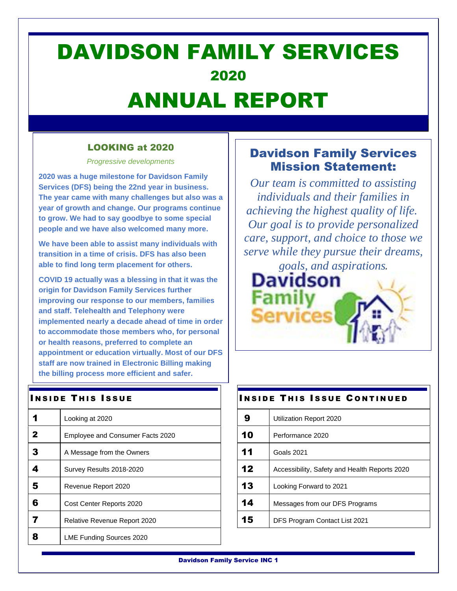## DAVIDSON FAMILY SERVICES 2020 ANNUAL REPORT

### LOOKING at 2020

*Progressive developments*

**2020 was a huge milestone for Davidson Family Services (DFS) being the 22nd year in business. The year came with many challenges but also was a year of growth and change. Our programs continue to grow. We had to say goodbye to some special people and we have also welcomed many more.** 

**We have been able to assist many individuals with transition in a time of crisis. DFS has also been able to find long term placement for others.**

**COVID 19 actually was a blessing in that it was the origin for Davidson Family Services further improving our response to our members, families and staff. Telehealth and Telephony were implemented nearly a decade ahead of time in order to accommodate those members who, for personal or health reasons, preferred to complete an appointment or education virtually. Most of our DFS staff are now trained in Electronic Billing making the billing process more efficient and safer.**

### **INSIDE THIS ISSUE**

|   | Looking at 2020                     |
|---|-------------------------------------|
| 2 | Employee and Consumer Facts 2020    |
| 3 | A Message from the Owners           |
|   | Survey Results 2018-2020            |
| 5 | Revenue Report 2020                 |
| 6 | Cost Center Reports 2020            |
|   | <b>Relative Revenue Report 2020</b> |
|   | LME Funding Sources 2020            |

## Davidson Family Services Mission Statement:

*Our team is committed to assisting individuals and their families in achieving the highest quality of life. Our goal is to provide personalized care, support, and choice to those we serve while they pursue their dreams,* 

*goals, and aspirations.* Davidson

# **INSIDE THIS ISSUE CONTINUED**

| 10 | Performance 2020                              |
|----|-----------------------------------------------|
| 11 | Goals 2021                                    |
| 12 | Accessibility, Safety and Health Reports 2020 |
| 13 | Looking Forward to 2021                       |
| 14 | Messages from our DFS Programs                |
| 15 | DFS Program Contact List 2021                 |

Davidson Family Service INC 1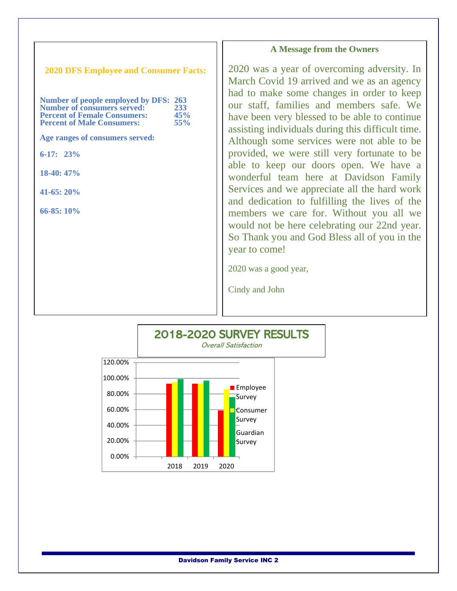#### **A Message from the Owners**

**2020 DFS Employee and Consumer Facts:**

| Number of people employed by DFS: 263 |     |
|---------------------------------------|-----|
| <b>Number of consumers served:</b>    | 233 |
| <b>Percent of Female Consumers:</b>   | 45% |
| <b>Percent of Male Consumers:</b>     | 55% |

**Age ranges of consumers served:**

**6-17: 23%**

 $\overline{1}$ 

**18-40: 47%**

**41-65: 20%**

**66-85: 10%**

 $\overline{\phantom{a}}$ 

 $\overline{\phantom{a}}$ 

2020 was a year of overcoming adversity. In March Covid 19 arrived and we as an agency had to make some changes in order to keep our staff, families and members safe. We have been very blessed to be able to continue assisting individuals during this difficult time. Although some services were not able to be provided, we were still very fortunate to be able to keep our doors open. We have a wonderful team here at Davidson Family Services and we appreciate all the hard work and dedication to fulfilling the lives of the members we care for. Without you all we would not be here celebrating our 22nd year. So Thank you and God Bless all of you in the year to come!

2020 was a good year,

Cindy and John

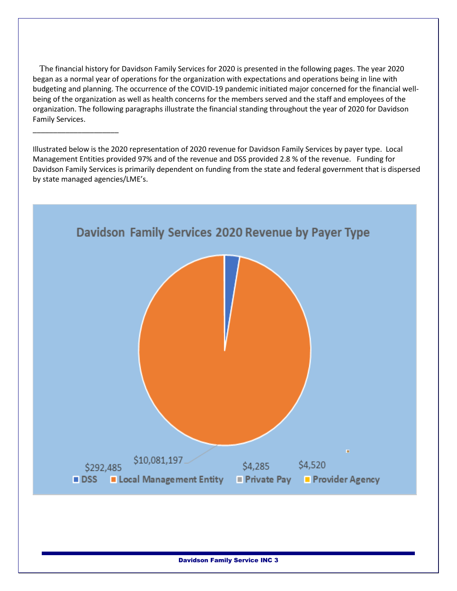The financial history for Davidson Family Services for 2020 is presented in the following pages. The year 2020 began as a normal year of operations for the organization with expectations and operations being in line with budgeting and planning. The occurrence of the COVID-19 pandemic initiated major concerned for the financial wellbeing of the organization as well as health concerns for the members served and the staff and employees of the organization. The following paragraphs illustrate the financial standing throughout the year of 2020 for Davidson Family Services.

\_\_\_\_\_\_\_\_\_\_\_\_\_\_\_\_\_\_\_\_\_

Illustrated below is the 2020 representation of 2020 revenue for Davidson Family Services by payer type. Local Management Entities provided 97% and of the revenue and DSS provided 2.8 % of the revenue. Funding for Davidson Family Services is primarily dependent on funding from the state and federal government that is dispersed by state managed agencies/LME's.

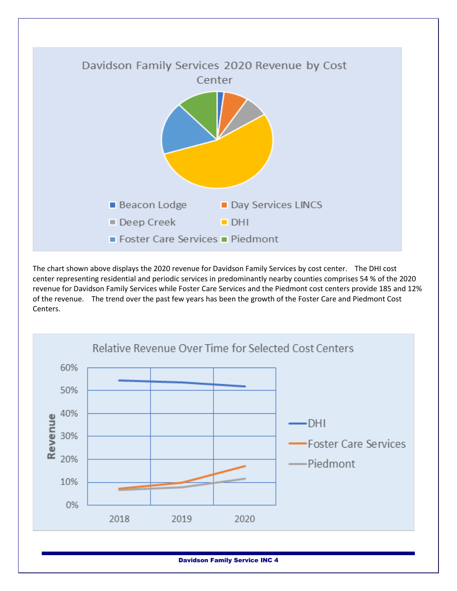

The chart shown above displays the 2020 revenue for Davidson Family Services by cost center. The DHI cost center representing residential and periodic services in predominantly nearby counties comprises 54 % of the 2020 revenue for Davidson Family Services while Foster Care Services and the Piedmont cost centers provide 185 and 12% of the revenue. The trend over the past few years has been the growth of the Foster Care and Piedmont Cost Centers.



Davidson Family Service INC 4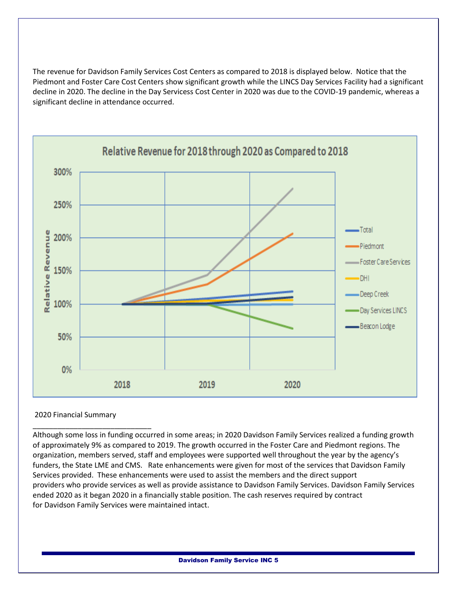The revenue for Davidson Family Services Cost Centers as compared to 2018 is displayed below. Notice that the Piedmont and Foster Care Cost Centers show significant growth while the LINCS Day Services Facility had a significant decline in 2020. The decline in the Day Servicess Cost Center in 2020 was due to the COVID-19 pandemic, whereas a significant decline in attendance occurred.



#### 2020 Financial Summary

\_\_\_\_\_\_\_\_\_\_\_\_\_\_\_\_\_\_\_\_\_\_\_\_\_\_\_\_\_

Although some loss in funding occurred in some areas; in 2020 Davidson Family Services realized a funding growth of approximately 9% as compared to 2019. The growth occurred in the Foster Care and Piedmont regions. The organization, members served, staff and employees were supported well throughout the year by the agency's funders, the State LME and CMS. Rate enhancements were given for most of the services that Davidson Family Services provided. These enhancements were used to assist the members and the direct support providers who provide services as well as provide assistance to Davidson Family Services. Davidson Family Services ended 2020 as it began 2020 in a financially stable position. The cash reserves required by contract for Davidson Family Services were maintained intact.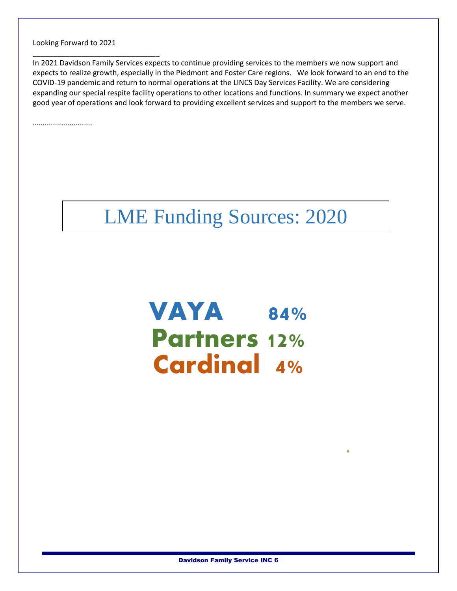Looking Forward to 2021

\_\_\_\_\_\_\_\_\_\_\_\_\_\_\_\_\_\_\_\_\_\_\_\_\_\_\_\_\_\_\_

In 2021 Davidson Family Services expects to continue providing services to the members we now support and expects to realize growth, especially in the Piedmont and Foster Care regions. We look forward to an end to the COVID-19 pandemic and return to normal operations at the LINCS Day Services Facility. We are considering expanding our special respite facility operations to other locations and functions. In summary we expect another good year of operations and look forward to providing excellent services and support to the members we serve.

…..........................

## LME Funding Sources: 2020

VAYA 84% Partners 12% Cardinal 4%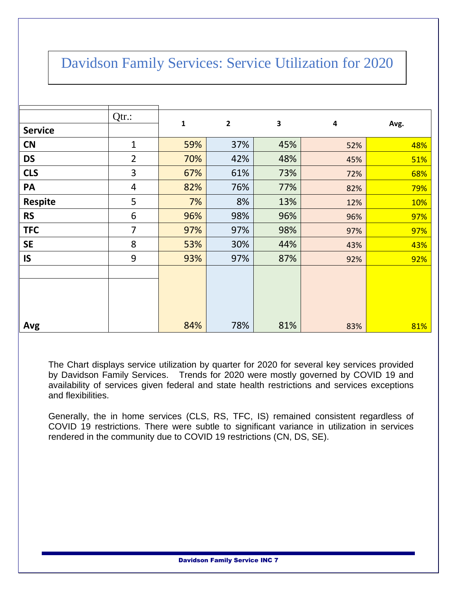## Davidson Family Services: Service Utilization for 2020

|                | Qtr.:          | $\mathbf{1}$ | $\mathbf{2}$ | 3   | 4   | Avg. |
|----------------|----------------|--------------|--------------|-----|-----|------|
| <b>Service</b> |                |              |              |     |     |      |
| <b>CN</b>      | 1              | 59%          | 37%          | 45% | 52% | 48%  |
| <b>DS</b>      | $\overline{2}$ | 70%          | 42%          | 48% | 45% | 51%  |
| <b>CLS</b>     | 3              | 67%          | 61%          | 73% | 72% | 68%  |
| PA             | $\overline{4}$ | 82%          | 76%          | 77% | 82% | 79%  |
| <b>Respite</b> | 5              | 7%           | 8%           | 13% | 12% | 10%  |
| <b>RS</b>      | 6              | 96%          | 98%          | 96% | 96% | 97%  |
| <b>TFC</b>     | $\overline{7}$ | 97%          | 97%          | 98% | 97% | 97%  |
| <b>SE</b>      | 8              | 53%          | 30%          | 44% | 43% | 43%  |
| <b>IS</b>      | 9              | 93%          | 97%          | 87% | 92% | 92%  |
|                |                |              |              |     |     |      |
| Avg            |                | 84%          | 78%          | 81% | 83% | 81%  |

The Chart displays service utilization by quarter for 2020 for several key services provided by Davidson Family Services. Trends for 2020 were mostly governed by COVID 19 and availability of services given federal and state health restrictions and services exceptions and flexibilities.

Generally, the in home services (CLS, RS, TFC, IS) remained consistent regardless of COVID 19 restrictions. There were subtle to significant variance in utilization in services rendered in the community due to COVID 19 restrictions (CN, DS, SE).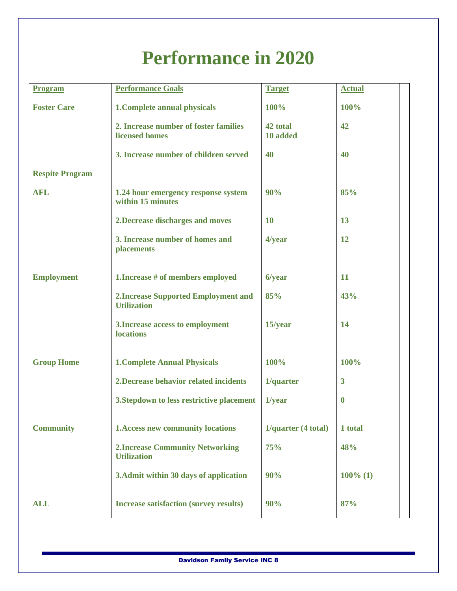## **Performance in 2020**

| <b>Program</b>         | <b>Performance Goals</b>                                          | <b>Target</b>        | <b>Actual</b>           |
|------------------------|-------------------------------------------------------------------|----------------------|-------------------------|
| <b>Foster Care</b>     | 1. Complete annual physicals                                      | 100%                 | 100%                    |
|                        | 2. Increase number of foster families<br><b>licensed</b> homes    | 42 total<br>10 added | 42                      |
|                        | 3. Increase number of children served                             | 40                   | 40                      |
| <b>Respite Program</b> |                                                                   |                      |                         |
| <b>AFL</b>             | 1.24 hour emergency response system<br>within 15 minutes          | 90%                  | 85%                     |
|                        | 2. Decrease discharges and moves                                  | <b>10</b>            | 13                      |
|                        | 3. Increase number of homes and<br>placements                     | 4/year               | 12                      |
| <b>Employment</b>      | 1. Increase # of members employed                                 | 6/year               | 11                      |
|                        | <b>2. Increase Supported Employment and</b><br><b>Utilization</b> | 85%                  | 43%                     |
|                        | 3. Increase access to employment<br><b>locations</b>              | 15/year              | 14                      |
| <b>Group Home</b>      | <b>1. Complete Annual Physicals</b>                               | 100%                 | 100%                    |
|                        | 2. Decrease behavior related incidents                            | 1/quarter            | $\overline{\mathbf{3}}$ |
|                        | 3. Stepdown to less restrictive placement                         | 1/year               | $\mathbf 0$             |
| <b>Community</b>       | <b>1. Access new community locations</b>                          | 1/quarter (4 total)  | 1 total                 |
|                        | <b>2. Increase Community Networking</b><br><b>Utilization</b>     | 75%                  | 48%                     |
|                        | 3. Admit within 30 days of application                            | 90%                  | $100\%$ (1)             |
| <b>ALL</b>             | <b>Increase satisfaction (survey results)</b>                     | 90%                  | 87%                     |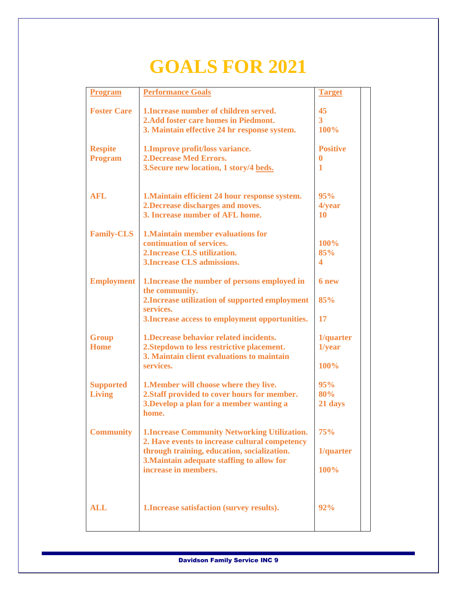## **GOALS FOR 2021**

| <b>Program</b>                   | <b>Performance Goals</b>                                          | <b>Target</b>   |
|----------------------------------|-------------------------------------------------------------------|-----------------|
|                                  |                                                                   |                 |
| <b>Foster Care</b>               | 1. Increase number of children served.                            | 45              |
|                                  | 2. Add foster care homes in Piedmont.                             | $\overline{3}$  |
|                                  | 3. Maintain effective 24 hr response system.                      | 100%            |
|                                  |                                                                   | <b>Positive</b> |
| <b>Respite</b><br><b>Program</b> | 1. Improve profit/loss variance.<br><b>2.Decrease Med Errors.</b> | 0               |
|                                  | 3. Secure new location, 1 story/4 beds.                           | 1               |
|                                  |                                                                   |                 |
|                                  |                                                                   |                 |
| <b>AFL</b>                       | 1. Maintain efficient 24 hour response system.                    | 95%             |
|                                  | 2. Decrease discharges and moves.                                 | 4/year          |
|                                  | 3. Increase number of AFL home.                                   | 10              |
|                                  |                                                                   |                 |
| <b>Family-CLS</b>                | <b>1. Maintain member evaluations for</b>                         |                 |
|                                  | continuation of services.                                         | 100%            |
|                                  | 2. Increase CLS utilization.                                      | 85%             |
|                                  | <b>3. Increase CLS admissions.</b>                                | 4               |
|                                  |                                                                   | 6 new           |
| <b>Employment</b>                | 1. Increase the number of persons employed in<br>the community.   |                 |
|                                  | 2. Increase utilization of supported employment                   | 85%             |
|                                  | services.                                                         |                 |
|                                  | 3. Increase access to employment opportunities.                   | 17              |
|                                  |                                                                   |                 |
| <b>Group</b>                     | 1. Decrease behavior related incidents.                           | 1/quarter       |
| <b>Home</b>                      | 2. Stepdown to less restrictive placement.                        | $1$ /year       |
|                                  | 3. Maintain client evaluations to maintain                        |                 |
|                                  | services.                                                         | 100%            |
|                                  |                                                                   |                 |
| <b>Supported</b>                 | 1. Member will choose where they live.                            | 95%             |
| <b>Living</b>                    | 2. Staff provided to cover hours for member.                      | 80%             |
|                                  | 3. Develop a plan for a member wanting a<br>home.                 | 21 days         |
|                                  |                                                                   |                 |
| <b>Community</b>                 | <b>1.Increase Community Networking Utilization.</b>               | 75%             |
|                                  | 2. Have events to increase cultural competency                    |                 |
|                                  | through training, education, socialization.                       | 1/quarter       |
|                                  | 3. Maintain adequate staffing to allow for                        |                 |
|                                  | increase in members.                                              | 100%            |
|                                  |                                                                   |                 |
|                                  |                                                                   |                 |
|                                  |                                                                   |                 |
| <b>ALL</b>                       | 1. Increase satisfaction (survey results).                        | 92%             |
|                                  |                                                                   |                 |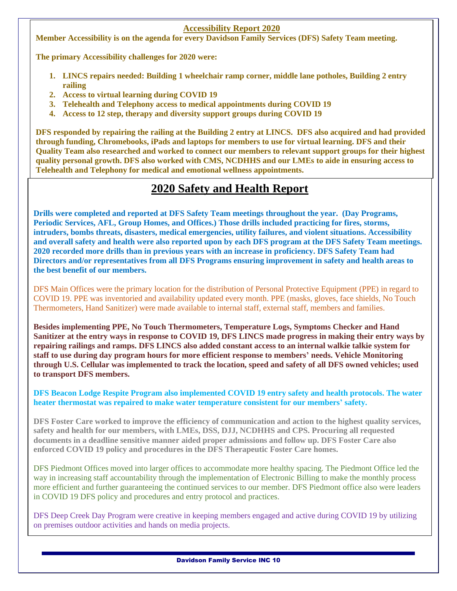#### **Accessibility Report 2020**

**Member Accessibility is on the agenda for every Davidson Family Services (DFS) Safety Team meeting.**

**The primary Accessibility challenges for 2020 were:**

- **1. LINCS repairs needed: Building 1 wheelchair ramp corner, middle lane potholes, Building 2 entry railing**
- **2. Access to virtual learning during COVID 19**
- **3. Telehealth and Telephony access to medical appointments during COVID 19**
- **4. Access to 12 step, therapy and diversity support groups during COVID 19**

**DFS responded by repairing the railing at the Building 2 entry at LINCS. DFS also acquired and had provided through funding, Chromebooks, iPads and laptops for members to use for virtual learning. DFS and their Quality Team also researched and worked to connect our members to relevant support groups for their highest quality personal growth. DFS also worked with CMS, NCDHHS and our LMEs to aide in ensuring access to Telehealth and Telephony for medical and emotional wellness appointments.** 

## **2020 Safety and Health Report**

**Drills were completed and reported at DFS Safety Team meetings throughout the year. (Day Programs, Periodic Services, AFL, Group Homes, and Offices.) Those drills included practicing for fires, storms, intruders, bombs threats, disasters, medical emergencies, utility failures, and violent situations. Accessibility and overall safety and health were also reported upon by each DFS program at the DFS Safety Team meetings. 2020 recorded more drills than in previous years with an increase in proficiency. DFS Safety Team had Directors and/or representatives from all DFS Programs ensuring improvement in safety and health areas to the best benefit of our members.** 

DFS Main Offices were the primary location for the distribution of Personal Protective Equipment (PPE) in regard to COVID 19. PPE was inventoried and availability updated every month. PPE (masks, gloves, face shields, No Touch Thermometers, Hand Sanitizer) were made available to internal staff, external staff, members and families.

**Besides implementing PPE, No Touch Thermometers, Temperature Logs, Symptoms Checker and Hand Sanitizer at the entry ways in response to COVID 19, DFS LINCS made progress in making their entry ways by repairing railings and ramps. DFS LINCS also added constant access to an internal walkie talkie system for staff to use during day program hours for more efficient response to members' needs. Vehicle Monitoring through U.S. Cellular was implemented to track the location, speed and safety of all DFS owned vehicles; used to transport DFS members.**

**DFS Beacon Lodge Respite Program also implemented COVID 19 entry safety and health protocols. The water heater thermostat was repaired to make water temperature consistent for our members' safety.** 

**DFS Foster Care worked to improve the efficiency of communication and action to the highest quality services, safety and health for our members, with LMEs, DSS, DJJ, NCDHHS and CPS. Procuring all requested documents in a deadline sensitive manner aided proper admissions and follow up. DFS Foster Care also enforced COVID 19 policy and procedures in the DFS Therapeutic Foster Care homes.** 

DFS Piedmont Offices moved into larger offices to accommodate more healthy spacing. The Piedmont Office led the way in increasing staff accountability through the implementation of Electronic Billing to make the monthly process more efficient and further guaranteeing the continued services to our member. DFS Piedmont office also were leaders in COVID 19 DFS policy and procedures and entry protocol and practices.

DFS Deep Creek Day Program were creative in keeping members engaged and active during COVID 19 by utilizing on premises outdoor activities and hands on media projects.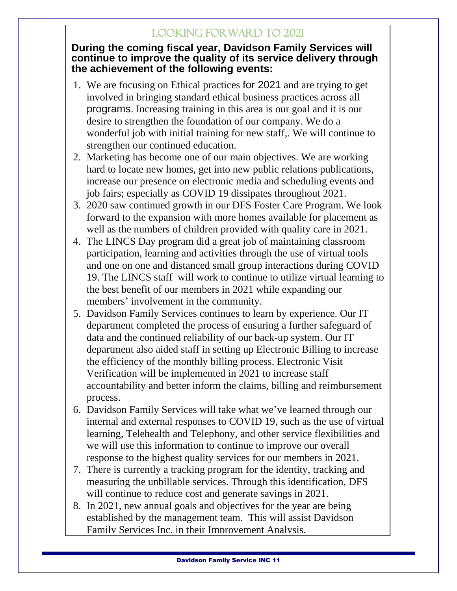## Looking Forward to 2021

### **During the coming fiscal year, Davidson Family Services will continue to improve the quality of its service delivery through the achievement of the following events:**

- 1. We are focusing on Ethical practices for 2021 and are trying to get involved in bringing standard ethical business practices across all programs. Increasing training in this area is our goal and it is our desire to strengthen the foundation of our company. We do a wonderful job with initial training for new staff,. We will continue to strengthen our continued education.
- 2. Marketing has become one of our main objectives. We are working hard to locate new homes, get into new public relations publications, increase our presence on electronic media and scheduling events and job fairs; especially as COVID 19 dissipates throughout 2021.
- 3. 2020 saw continued growth in our DFS Foster Care Program. We look forward to the expansion with more homes available for placement as well as the numbers of children provided with quality care in 2021.
- 4. The LINCS Day program did a great job of maintaining classroom participation, learning and activities through the use of virtual tools and one on one and distanced small group interactions during COVID 19. The LINCS staff will work to continue to utilize virtual learning to the best benefit of our members in 2021 while expanding our members' involvement in the community.
- 5. Davidson Family Services continues to learn by experience. Our IT department completed the process of ensuring a further safeguard of data and the continued reliability of our back-up system. Our IT department also aided staff in setting up Electronic Billing to increase the efficiency of the monthly billing process. Electronic Visit Verification will be implemented in 2021 to increase staff accountability and better inform the claims, billing and reimbursement process.
- 6. Davidson Family Services will take what we've learned through our internal and external responses to COVID 19, such as the use of virtual learning, Telehealth and Telephony, and other service flexibilities and we will use this information to continue to improve our overall response to the highest quality services for our members in 2021.
- 7. There is currently a tracking program for the identity, tracking and measuring the unbillable services. Through this identification, DFS will continue to reduce cost and generate savings in 2021.
- 8. In 2021, new annual goals and objectives for the year are being established by the management team. This will assist Davidson Family Services Inc. in their Improvement Analysis.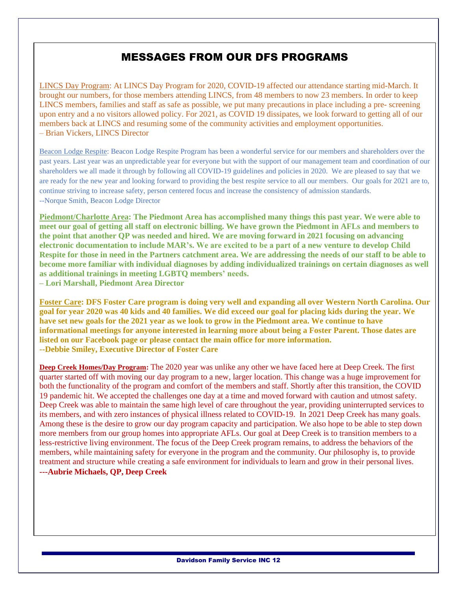### MESSAGES FROM OUR DFS PROGRAMS

LINCS Day Program: At LINCS Day Program for 2020, COVID-19 affected our attendance starting mid-March. It brought our numbers, for those members attending LINCS, from 48 members to now 23 members. In order to keep LINCS members, families and staff as safe as possible, we put many precautions in place including a pre- screening upon entry and a no visitors allowed policy. For 2021, as COVID 19 dissipates, we look forward to getting all of our members back at LINCS and resuming some of the community activities and employment opportunities. – Brian Vickers, LINCS Director

Beacon Lodge Respite: Beacon Lodge Respite Program has been a wonderful service for our members and shareholders over the past years. Last year was an unpredictable year for everyone but with the support of our management team and coordination of our shareholders we all made it through by following all COVID-19 guidelines and policies in 2020. We are pleased to say that we are ready for the new year and looking forward to providing the best respite service to all our members. Our goals for 2021 are to, continue striving to increase safety, person centered focus and increase the consistency of admission standards. --Norque Smith, Beacon Lodge Director

**Piedmont/Charlotte Area: The Piedmont Area has accomplished many things this past year. We were able to meet our goal of getting all staff on electronic billing. We have grown the Piedmont in AFLs and members to the point that another QP was needed and hired. We are moving forward in 2021 focusing on advancing electronic documentation to include MAR's. We are excited to be a part of a new venture to develop Child Respite for those in need in the Partners catchment area. We are addressing the needs of our staff to be able to become more familiar with individual diagnoses by adding individualized trainings on certain diagnoses as well as additional trainings in meeting LGBTQ members' needs.** 

**– Lori Marshall, Piedmont Area Director**

Foster Care: DFS Foster Care program is doing very well and expanding all over Western North Carolina. Our goal for year 2020 was 40 kids and 40 families. We did exceed our goal for placing kids during the year. We have set new goals for the 2021 year as we look to grow in the Piedmont area. We continue to have **informational meetings for anyone interested in learning more about being a Foster Parent. Those dates are listed on our Facebook page or please contact the main office for more information. --Debbie Smiley, Executive Director of Foster Care**

**Deep Creek Homes/Day Program:** The 2020 year was unlike any other we have faced here at Deep Creek. The first quarter started off with moving our day program to a new, larger location. This change was a huge improvement for both the functionality of the program and comfort of the members and staff. Shortly after this transition, the COVID 19 pandemic hit. We accepted the challenges one day at a time and moved forward with caution and utmost safety. Deep Creek was able to maintain the same high level of care throughout the year, providing uninterrupted services to its members, and with zero instances of physical illness related to COVID-19. In 2021 Deep Creek has many goals. Among these is the desire to grow our day program capacity and participation. We also hope to be able to step down more members from our group homes into appropriate AFLs. Our goal at Deep Creek is to transition members to a less-restrictive living environment. The focus of the Deep Creek program remains, to address the behaviors of the members, while maintaining safety for everyone in the program and the community. Our philosophy is, to provide treatment and structure while creating a safe environment for individuals to learn and grow in their personal lives. **---Aubrie Michaels, QP, Deep Creek**